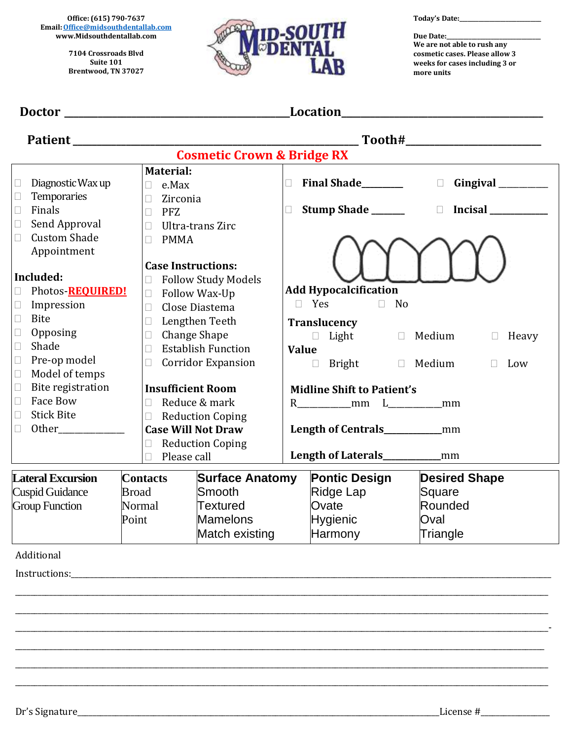**Office: (615) 790-7637 Email[:Office@midsouthdentallab.com](mailto:Office@midsouthdentallab.com) [www.Midsouthdentallab.com](http://www.midsouthdentallab.com/)**

> **7104 Crossroads Blvd Suite 101 Brentwood, TN 37027**



**Today's Date:\_\_\_\_\_\_\_\_\_\_\_\_\_\_\_\_\_\_\_\_\_\_\_\_\_\_\_\_\_\_**

**Due Date:\_\_\_\_\_\_\_\_\_\_\_\_\_\_\_\_\_\_\_\_\_\_\_\_\_\_\_\_\_\_\_\_\_\_ We are not able to rush any cosmetic cases. Please allow 3 weeks for cases including 3 or more units**

| Location_<br><b>Doctor</b><br><u> 1989 - Johann Barbara, martin amerikan basar da</u><br><u> 1989 - Johann Barbara, martin amerikan basar dan basa dalam basa dalam basa dalam basa dalam basa dalam basa</u> |                                                                                                                                                                                     |                                                                                                                      |                                                                                                         |  |
|---------------------------------------------------------------------------------------------------------------------------------------------------------------------------------------------------------------|-------------------------------------------------------------------------------------------------------------------------------------------------------------------------------------|----------------------------------------------------------------------------------------------------------------------|---------------------------------------------------------------------------------------------------------|--|
|                                                                                                                                                                                                               |                                                                                                                                                                                     |                                                                                                                      |                                                                                                         |  |
| <b>Cosmetic Crown &amp; Bridge RX</b>                                                                                                                                                                         |                                                                                                                                                                                     |                                                                                                                      |                                                                                                         |  |
| Diagnostic Wax up<br>$\Box$<br>Temporaries<br>Ш                                                                                                                                                               | <b>Material:</b><br>e.Max<br>$\Box$<br>Zirconia<br>$\Box$                                                                                                                           | $\Box$                                                                                                               | Final Shade________<br>$\Box$                                                                           |  |
| Finals<br>$\Box$<br>Send Approval<br>□<br><b>Custom Shade</b><br>$\Box$<br>Appointment                                                                                                                        | <b>PFZ</b><br>$\Box$<br>Ultra-trans Zirc<br>$\Box$<br><b>PMMA</b><br>$\Box$                                                                                                         | $\Box$                                                                                                               | Stump Shade ______                                                                                      |  |
| Included:<br>Photos-REQUIRED!<br>$\Box$<br>Impression<br>$\Box$<br>$\Box$<br><b>Bite</b>                                                                                                                      | <b>Case Instructions:</b><br><b>Follow Study Models</b><br>$\Box$<br>Follow Wax-Up<br>$\Box$<br>$\Box$<br>Close Diastema                                                            | <b>Add Hypocalcification</b><br>$\Box$ Yes                                                                           | $\Box$<br>No                                                                                            |  |
| Opposing<br>$\Box$<br>Shade<br>$\Box$<br>Pre-op model<br>$\Box$<br>Model of temps<br>$\Box$                                                                                                                   | Lengthen Teeth<br>$\Box$<br><b>Change Shape</b><br>$\Box$<br><b>Establish Function</b><br>$\Box$<br><b>Corridor Expansion</b><br>$\Box$                                             | Translucency<br><b>Value</b><br>$\Box$                                                                               | $\Box$ Light $\Box$ Medium<br>Heavy<br>$\Box$<br>Bright<br>Medium<br>$\Box$<br>$\Box$<br>Low            |  |
| Bite registration<br>$\Box$<br>Face Bow<br>$\Box$<br><b>Stick Bite</b><br>$\Box$<br>$\Box$                                                                                                                    | <b>Insufficient Room</b><br>Reduce & mark<br>$\Box$<br><b>Reduction Coping</b><br>$\Box$<br><b>Case Will Not Draw</b><br><b>Reduction Coping</b><br>$\Box$<br>Please call<br>$\Box$ | <b>Midline Shift to Patient's</b>                                                                                    | R____________mm L____________mm<br>Length of Centrals____________mm<br>Length of Laterals____________mm |  |
| <b>Lateral Excursion</b><br><b>Cuspid Guidance</b><br><b>Group Function</b>                                                                                                                                   | <b>Contacts</b><br>Smooth<br><b>Broad</b><br><b>Textured</b><br>Normal<br>Point<br><b>Mamelons</b>                                                                                  | <b>Pontic Design</b><br><b>Surface Anatomy</b><br>Ridge Lap<br>Ovate<br><b>Hygienic</b><br>Match existing<br>Harmony | <b>Desired Shape</b><br>Square<br>Rounded<br>Oval<br>Triangle                                           |  |
| Additional                                                                                                                                                                                                    |                                                                                                                                                                                     |                                                                                                                      |                                                                                                         |  |
| Instructions:                                                                                                                                                                                                 |                                                                                                                                                                                     |                                                                                                                      |                                                                                                         |  |
|                                                                                                                                                                                                               |                                                                                                                                                                                     |                                                                                                                      |                                                                                                         |  |
|                                                                                                                                                                                                               |                                                                                                                                                                                     |                                                                                                                      |                                                                                                         |  |
|                                                                                                                                                                                                               |                                                                                                                                                                                     |                                                                                                                      |                                                                                                         |  |
|                                                                                                                                                                                                               |                                                                                                                                                                                     |                                                                                                                      |                                                                                                         |  |